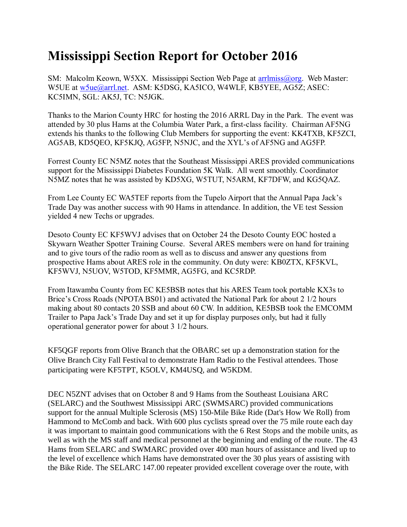## **Mississippi Section Report for October 2016**

SM: Malcolm Keown, W5XX. Mississippi Section Web Page at [arrlmiss@org.](mailto:arrlmiss@org) Web Master: W5UE at w<sub>5ue</sub>@arrl.net. ASM: K5DSG, KA5ICO, W4WLF, KB5YEE, AG5Z; ASEC: KC5IMN, SGL: AK5J, TC: N5JGK.

Thanks to the Marion County HRC for hosting the 2016 ARRL Day in the Park. The event was attended by 30 plus Hams at the Columbia Water Park, a first-class facility. Chairman AF5NG extends his thanks to the following Club Members for supporting the event: KK4TXB, KF5ZCI, AG5AB, KD5QEO, KF5KJQ, AG5FP, N5NJC, and the XYL's of AF5NG and AG5FP.

Forrest County EC N5MZ notes that the Southeast Mississippi ARES provided communications support for the Mississippi Diabetes Foundation 5K Walk. All went smoothly. Coordinator N5MZ notes that he was assisted by KD5XG, W5TUT, N5ARM, KF7DFW, and KG5QAZ.

From Lee County EC WA5TEF reports from the Tupelo Airport that the Annual Papa Jack's Trade Day was another success with 90 Hams in attendance. In addition, the VE test Session yielded 4 new Techs or upgrades.

Desoto County EC KF5WVJ advises that on October 24 the Desoto County EOC hosted a Skywarn Weather Spotter Training Course. Several ARES members were on hand for training and to give tours of the radio room as well as to discuss and answer any questions from prospective Hams about ARES role in the community. On duty were: KB0ZTX, KF5KVL, KF5WVJ, N5UOV, W5TOD, KF5MMR, AG5FG, and KC5RDP.

From Itawamba County from EC KE5BSB notes that his ARES Team took portable KX3s to Brice's Cross Roads (NPOTA BS01) and activated the National Park for about 2 1/2 hours making about 80 contacts 20 SSB and about 60 CW. In addition, KE5BSB took the EMCOMM Trailer to Papa Jack's Trade Day and set it up for display purposes only, but had it fully operational generator power for about 3 1/2 hours.

KF5QGF reports from Olive Branch that the OBARC set up a demonstration station for the Olive Branch City Fall Festival to demonstrate Ham Radio to the Festival attendees. Those participating were KF5TPT, K5OLV, KM4USQ, and W5KDM.

DEC N5ZNT advises that on October 8 and 9 Hams from the Southeast Louisiana ARC (SELARC) and the Southwest Mississippi ARC (SWMSARC) provided communications support for the annual Multiple Sclerosis (MS) 150-Mile Bike Ride (Dat's How We Roll) from Hammond to McComb and back. With 600 plus cyclists spread over the 75 mile route each day it was important to maintain good communications with the 6 Rest Stops and the mobile units, as well as with the MS staff and medical personnel at the beginning and ending of the route. The 43 Hams from SELARC and SWMARC provided over 400 man hours of assistance and lived up to the level of excellence which Hams have demonstrated over the 30 plus years of assisting with the Bike Ride. The SELARC 147.00 repeater provided excellent coverage over the route, with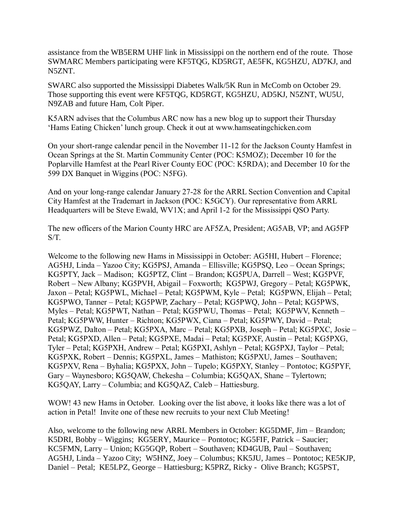assistance from the WB5ERM UHF link in Mississippi on the northern end of the route. Those SWMARC Members participating were KF5TQG, KD5RGT, AE5FK, KG5HZU, AD7KJ, and N5ZNT.

SWARC also supported the Mississippi Diabetes Walk/5K Run in McComb on October 29. Those supporting this event were KF5TQG, KD5RGT, KG5HZU, AD5KJ, N5ZNT, WU5U, N9ZAB and future Ham, Colt Piper.

K5ARN advises that the Columbus ARC now has a new blog up to support their Thursday 'Hams Eating Chicken' lunch group. Check it out at www.hamseatingchicken.com

On your short-range calendar pencil in the November 11-12 for the Jackson County Hamfest in Ocean Springs at the St. Martin Community Center (POC: K5MOZ); December 10 for the Poplarville Hamfest at the Pearl River County EOC (POC: K5RDA); and December 10 for the 599 DX Banquet in Wiggins (POC: N5FG).

And on your long-range calendar January 27-28 for the ARRL Section Convention and Capital City Hamfest at the Trademart in Jackson (POC: K5GCY). Our representative from ARRL Headquarters will be Steve Ewald, WV1X; and April 1-2 for the Mississippi QSO Party.

The new officers of the Marion County HRC are AF5ZA, President; AG5AB, VP; and AG5FP S/T.

Welcome to the following new Hams in Mississippi in October: AG5HI, Hubert – Florence; AG5HJ, Linda – Yazoo City; KG5PSJ, Amanda – Ellisville; KG5PSQ, Leo – Ocean Springs; KG5PTY, Jack – Madison; KG5PTZ, Clint – Brandon; KG5PUA, Darrell – West; KG5PVF, Robert – New Albany; KG5PVH, Abigail – Foxworth; KG5PWJ, Gregory – Petal; KG5PWK, Jaxon – Petal; KG5PWL, Michael – Petal; KG5PWM, Kyle – Petal; KG5PWN, Elijah – Petal; KG5PWO, Tanner – Petal; KG5PWP, Zachary – Petal; KG5PWQ, John – Petal; KG5PWS, Myles – Petal; KG5PWT, Nathan – Petal; KG5PWU, Thomas – Petal; KG5PWV, Kenneth – Petal; KG5PWW, Hunter – Richton; KG5PWX, Ciana – Petal; KG5PWY, David – Petal; KG5PWZ, Dalton – Petal; KG5PXA, Marc – Petal; KG5PXB, Joseph – Petal; KG5PXC, Josie – Petal; KG5PXD, Allen – Petal; KG5PXE, Madai – Petal; KG5PXF, Austin – Petal; KG5PXG, Tyler – Petal; KG5PXH, Andrew – Petal; KG5PXI, Ashlyn – Petal; KG5PXJ, Taylor – Petal; KG5PXK, Robert – Dennis; KG5PXL, James – Mathiston; KG5PXU, James – Southaven; KG5PXV, Rena – Byhalia; KG5PXX, John – Tupelo; KG5PXY, Stanley – Pontotoc; KG5PYF, Gary – Waynesboro; KG5QAW, Chekesha – Columbia; KG5QAX, Shane – Tylertown; KG5QAY, Larry – Columbia; and KG5QAZ, Caleb – Hattiesburg.

WOW! 43 new Hams in October. Looking over the list above, it looks like there was a lot of action in Petal! Invite one of these new recruits to your next Club Meeting!

Also, welcome to the following new ARRL Members in October: KG5DMF, Jim – Brandon; K5DRI, Bobby – Wiggins; KG5ERY, Maurice – Pontotoc; KG5FIF, Patrick – Saucier; KC5FMN, Larry – Union; KG5GQP, Robert – Southaven; KD4GUB, Paul – Southaven; AG5HJ, Linda – Yazoo City; W5HNZ, Joey – Columbus; KK5JU, James – Pontotoc; KE5KJP, Daniel – Petal; KE5LPZ, George – Hattiesburg; K5PRZ, Ricky - Olive Branch; KG5PST,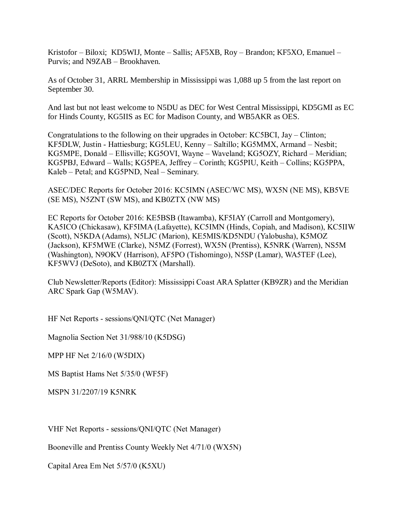Kristofor – Biloxi; KD5WIJ, Monte – Sallis; AF5XB, Roy – Brandon; KF5XO, Emanuel – Purvis; and N9ZAB – Brookhaven.

As of October 31, ARRL Membership in Mississippi was 1,088 up 5 from the last report on September 30.

And last but not least welcome to N5DU as DEC for West Central Mississippi, KD5GMI as EC for Hinds County, KG5IIS as EC for Madison County, and WB5AKR as OES.

Congratulations to the following on their upgrades in October: KC5BCI, Jay – Clinton; KF5DLW, Justin - Hattiesburg; KG5LEU, Kenny – Saltillo; KG5MMX, Armand – Nesbit; KG5MPE, Donald – Ellisville; KG5OVI, Wayne – Waveland; KG5OZY, Richard – Meridian; KG5PBJ, Edward – Walls; KG5PEA, Jeffrey – Corinth; KG5PIU, Keith – Collins; KG5PPA, Kaleb – Petal; and KG5PND, Neal – Seminary.

ASEC/DEC Reports for October 2016: KC5IMN (ASEC/WC MS), WX5N (NE MS), KB5VE (SE MS), N5ZNT (SW MS), and KB0ZTX (NW MS)

EC Reports for October 2016: KE5BSB (Itawamba), KF5IAY (Carroll and Montgomery), KA5ICO (Chickasaw), KF5IMA (Lafayette), KC5IMN (Hinds, Copiah, and Madison), KC5IIW (Scott), N5KDA (Adams), N5LJC (Marion), KE5MIS/KD5NDU (Yalobusha), K5MOZ (Jackson), KF5MWE (Clarke), N5MZ (Forrest), WX5N (Prentiss), K5NRK (Warren), NS5M (Washington), N9OKV (Harrison), AF5PO (Tishomingo), N5SP (Lamar), WA5TEF (Lee), KF5WVJ (DeSoto), and KB0ZTX (Marshall).

Club Newsletter/Reports (Editor): Mississippi Coast ARA Splatter (KB9ZR) and the Meridian ARC Spark Gap (W5MAV).

HF Net Reports - sessions/QNI/QTC (Net Manager)

Magnolia Section Net 31/988/10 (K5DSG)

MPP HF Net 2/16/0 (W5DIX)

MS Baptist Hams Net 5/35/0 (WF5F)

MSPN 31/2207/19 K5NRK

VHF Net Reports - sessions/QNI/QTC (Net Manager)

Booneville and Prentiss County Weekly Net 4/71/0 (WX5N)

Capital Area Em Net 5/57/0 (K5XU)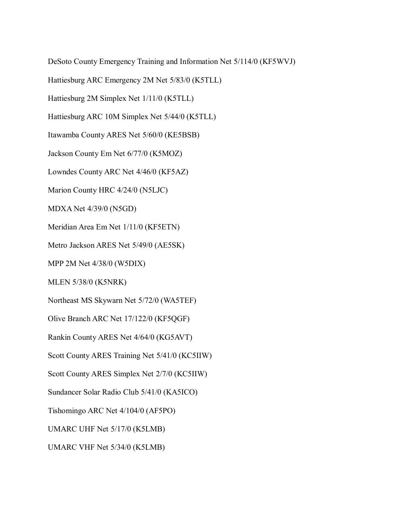DeSoto County Emergency Training and Information Net 5/114/0 (KF5WVJ)

Hattiesburg ARC Emergency 2M Net 5/83/0 (K5TLL)

Hattiesburg 2M Simplex Net 1/11/0 (K5TLL)

Hattiesburg ARC 10M Simplex Net 5/44/0 (K5TLL)

Itawamba County ARES Net 5/60/0 (KE5BSB)

Jackson County Em Net 6/77/0 (K5MOZ)

Lowndes County ARC Net 4/46/0 (KF5AZ)

Marion County HRC 4/24/0 (N5LJC)

MDXA Net 4/39/0 (N5GD)

Meridian Area Em Net 1/11/0 (KF5ETN)

Metro Jackson ARES Net 5/49/0 (AE5SK)

MPP 2M Net 4/38/0 (W5DIX)

MLEN 5/38/0 (K5NRK)

Northeast MS Skywarn Net 5/72/0 (WA5TEF)

Olive Branch ARC Net 17/122/0 (KF5QGF)

Rankin County ARES Net 4/64/0 (KG5AVT)

Scott County ARES Training Net 5/41/0 (KC5IIW)

Scott County ARES Simplex Net 2/7/0 (KC5IIW)

Sundancer Solar Radio Club 5/41/0 (KA5ICO)

Tishomingo ARC Net 4/104/0 (AF5PO)

UMARC UHF Net 5/17/0 (K5LMB)

UMARC VHF Net 5/34/0 (K5LMB)